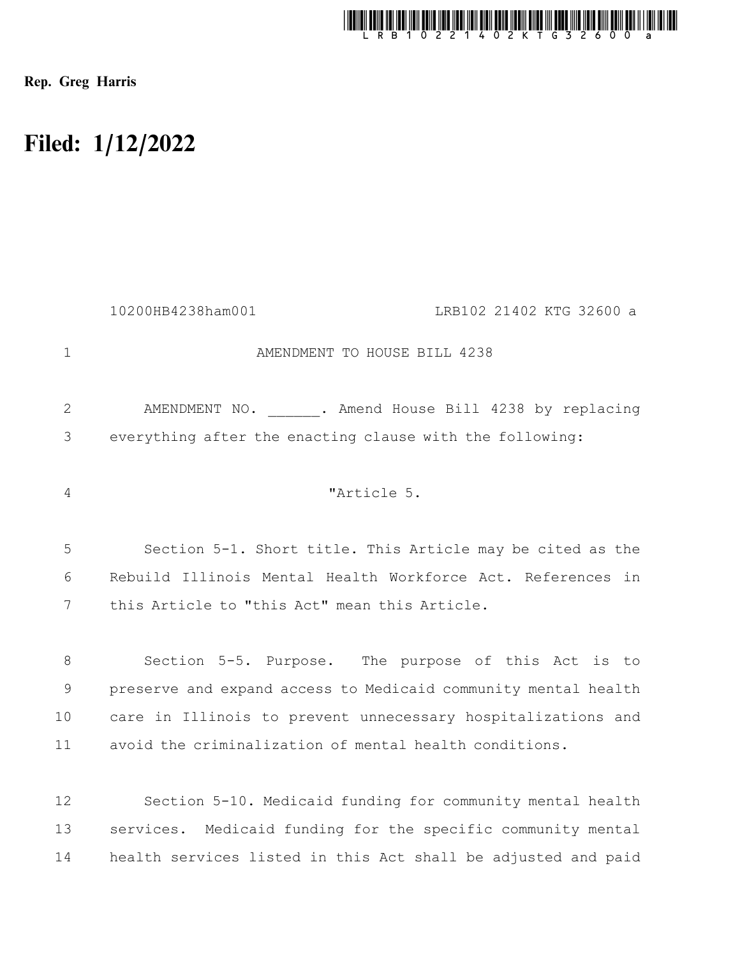

Rep. Greg Harris

## Filed: 1/12/2022

|             | 10200HB4238ham001                             | LRB102 21402 KTG 32600 a                                       |
|-------------|-----------------------------------------------|----------------------------------------------------------------|
| 1           |                                               | AMENDMENT TO HOUSE BILL 4238                                   |
| 2           |                                               | AMENDMENT NO. . Amend House Bill 4238 by replacing             |
| 3           |                                               | everything after the enacting clause with the following:       |
| 4           |                                               | "Article 5.                                                    |
| 5           |                                               | Section 5-1. Short title. This Article may be cited as the     |
| 6           |                                               | Rebuild Illinois Mental Health Workforce Act. References in    |
| 7           | this Article to "this Act" mean this Article. |                                                                |
| 8           |                                               | Section 5-5. Purpose. The purpose of this Act is to            |
| $\mathsf 9$ |                                               | preserve and expand access to Medicaid community mental health |
| 10          |                                               | care in Illinois to prevent unnecessary hospitalizations and   |
| 11          |                                               | avoid the criminalization of mental health conditions.         |
| 12          |                                               | Section 5-10. Medicaid funding for community mental health     |
| 13          |                                               | services. Medicaid funding for the specific community mental   |
| 14          |                                               | health services listed in this Act shall be adjusted and paid  |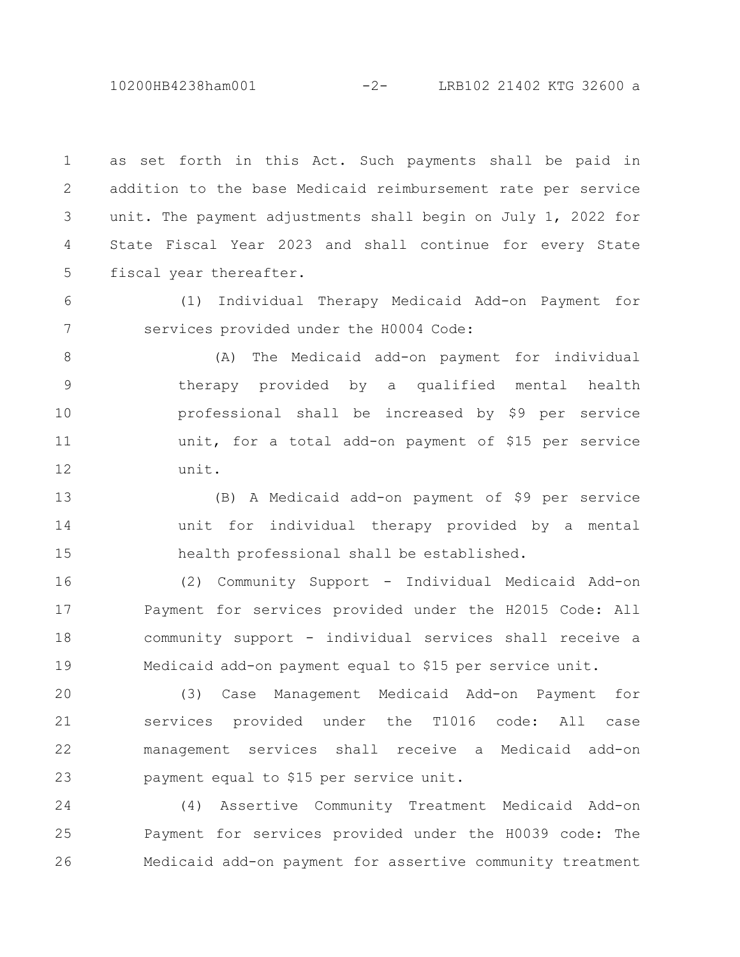10200HB4238ham001 -2- LRB102 21402 KTG 32600 a

as set forth in this Act. Such payments shall be paid in addition to the base Medicaid reimbursement rate per service unit. The payment adjustments shall begin on July 1, 2022 for State Fiscal Year 2023 and shall continue for every State fiscal year thereafter. 1 2 3 4 5

(1) Individual Therapy Medicaid Add-on Payment for services provided under the H0004 Code: 6 7

(A) The Medicaid add-on payment for individual therapy provided by a qualified mental health professional shall be increased by \$9 per service unit, for a total add-on payment of \$15 per service unit. 8 9 10 11 12

(B) A Medicaid add-on payment of \$9 per service unit for individual therapy provided by a mental health professional shall be established. 13 14 15

(2) Community Support - Individual Medicaid Add-on Payment for services provided under the H2015 Code: All community support - individual services shall receive a Medicaid add-on payment equal to \$15 per service unit. 16 17 18 19

(3) Case Management Medicaid Add-on Payment for services provided under the T1016 code: All case management services shall receive a Medicaid add-on payment equal to \$15 per service unit. 20 21 22 23

(4) Assertive Community Treatment Medicaid Add-on Payment for services provided under the H0039 code: The Medicaid add-on payment for assertive community treatment 24 25 26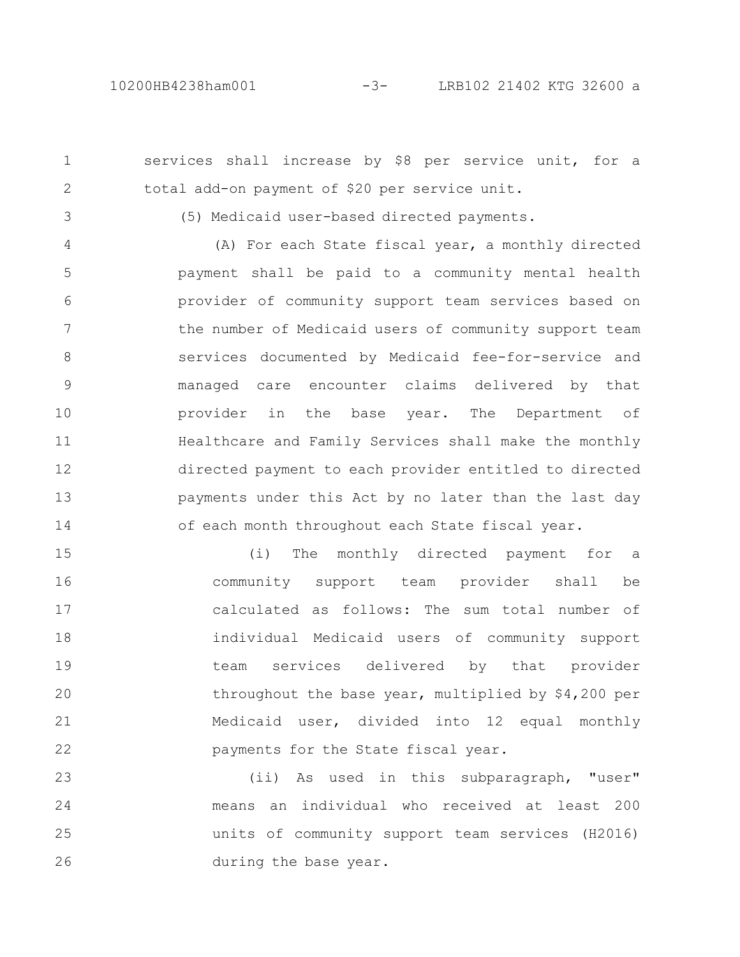services shall increase by \$8 per service unit, for a total add-on payment of \$20 per service unit. 1 2

3

(5) Medicaid user-based directed payments.

(A) For each State fiscal year, a monthly directed payment shall be paid to a community mental health provider of community support team services based on the number of Medicaid users of community support team services documented by Medicaid fee-for-service and managed care encounter claims delivered by that provider in the base year. The Department of Healthcare and Family Services shall make the monthly directed payment to each provider entitled to directed payments under this Act by no later than the last day of each month throughout each State fiscal year. 4 5 6 7 8 9 10 11 12 13 14

(i) The monthly directed payment for a community support team provider shall be calculated as follows: The sum total number of individual Medicaid users of community support team services delivered by that provider throughout the base year, multiplied by \$4,200 per Medicaid user, divided into 12 equal monthly payments for the State fiscal year. 15 16 17 18 19 20 21 22

(ii) As used in this subparagraph, "user" means an individual who received at least 200 units of community support team services (H2016) during the base year. 23 24 25 26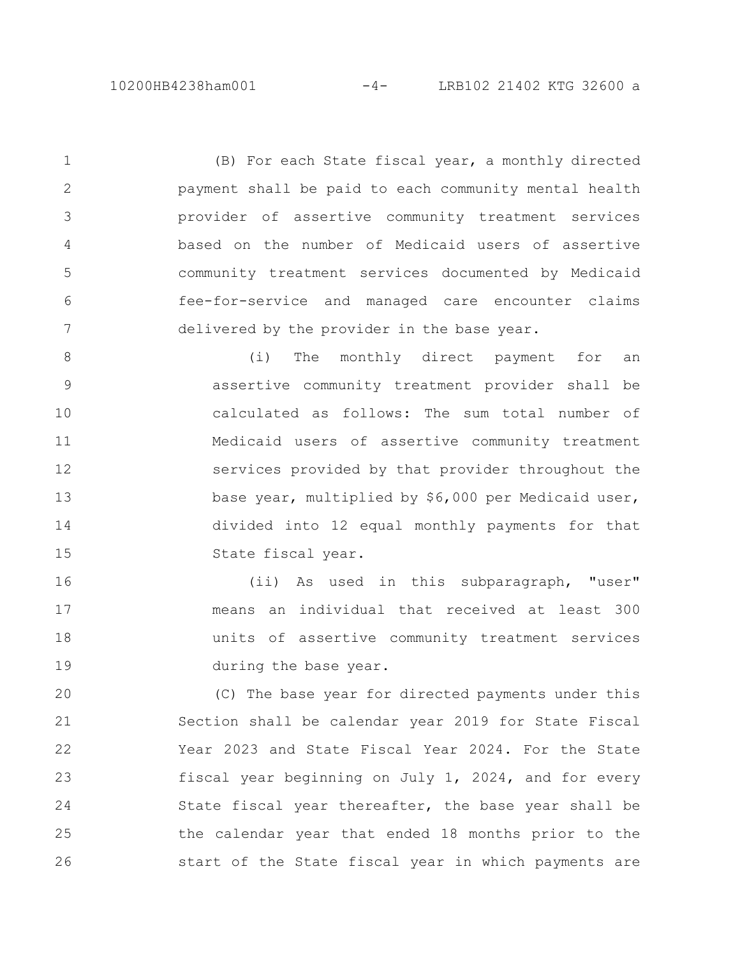(B) For each State fiscal year, a monthly directed payment shall be paid to each community mental health provider of assertive community treatment services based on the number of Medicaid users of assertive community treatment services documented by Medicaid fee-for-service and managed care encounter claims delivered by the provider in the base year. 1 2 3 4 5 6 7

(i) The monthly direct payment for an assertive community treatment provider shall be calculated as follows: The sum total number of Medicaid users of assertive community treatment services provided by that provider throughout the base year, multiplied by \$6,000 per Medicaid user, divided into 12 equal monthly payments for that State fiscal year. 8 9 10 11 12 13 14 15

(ii) As used in this subparagraph, "user" means an individual that received at least 300 units of assertive community treatment services during the base year. 16 17 18 19

(C) The base year for directed payments under this Section shall be calendar year 2019 for State Fiscal Year 2023 and State Fiscal Year 2024. For the State fiscal year beginning on July 1, 2024, and for every State fiscal year thereafter, the base year shall be the calendar year that ended 18 months prior to the start of the State fiscal year in which payments are 20 21 22 23 24 25 26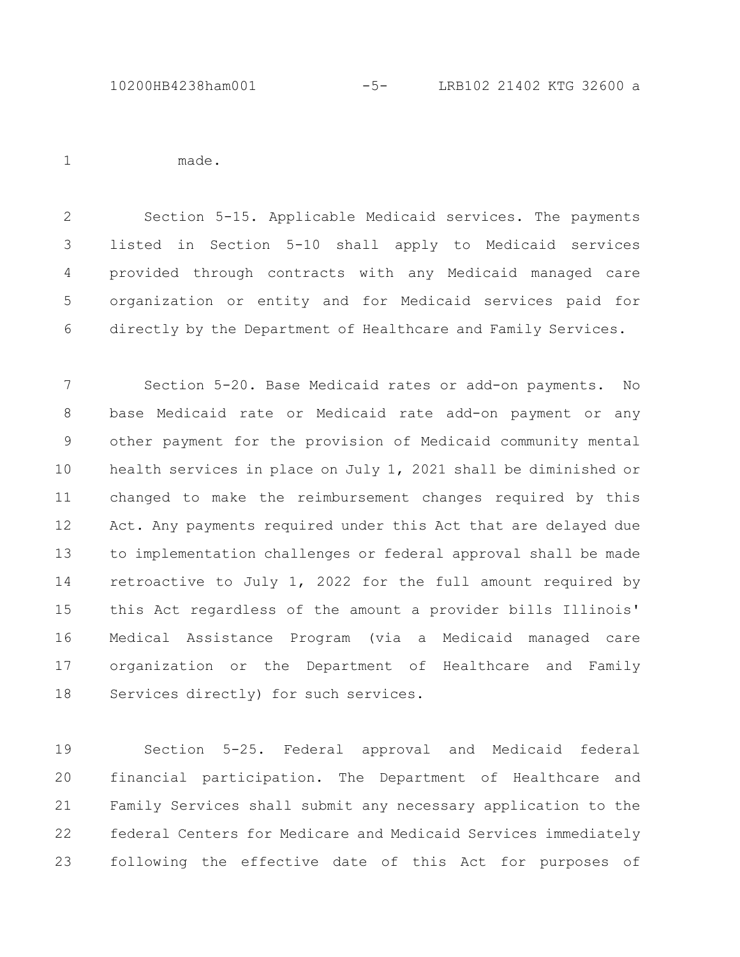made.

1

Section 5-15. Applicable Medicaid services. The payments listed in Section 5-10 shall apply to Medicaid services provided through contracts with any Medicaid managed care organization or entity and for Medicaid services paid for directly by the Department of Healthcare and Family Services. 2 3 4 5 6

Section 5-20. Base Medicaid rates or add-on payments. No base Medicaid rate or Medicaid rate add-on payment or any other payment for the provision of Medicaid community mental health services in place on July 1, 2021 shall be diminished or changed to make the reimbursement changes required by this Act. Any payments required under this Act that are delayed due to implementation challenges or federal approval shall be made retroactive to July 1, 2022 for the full amount required by this Act regardless of the amount a provider bills Illinois' Medical Assistance Program (via a Medicaid managed care organization or the Department of Healthcare and Family Services directly) for such services. 7 8 9 10 11 12 13 14 15 16 17 18

Section 5-25. Federal approval and Medicaid federal financial participation. The Department of Healthcare and Family Services shall submit any necessary application to the federal Centers for Medicare and Medicaid Services immediately following the effective date of this Act for purposes of 19 20 21 22 23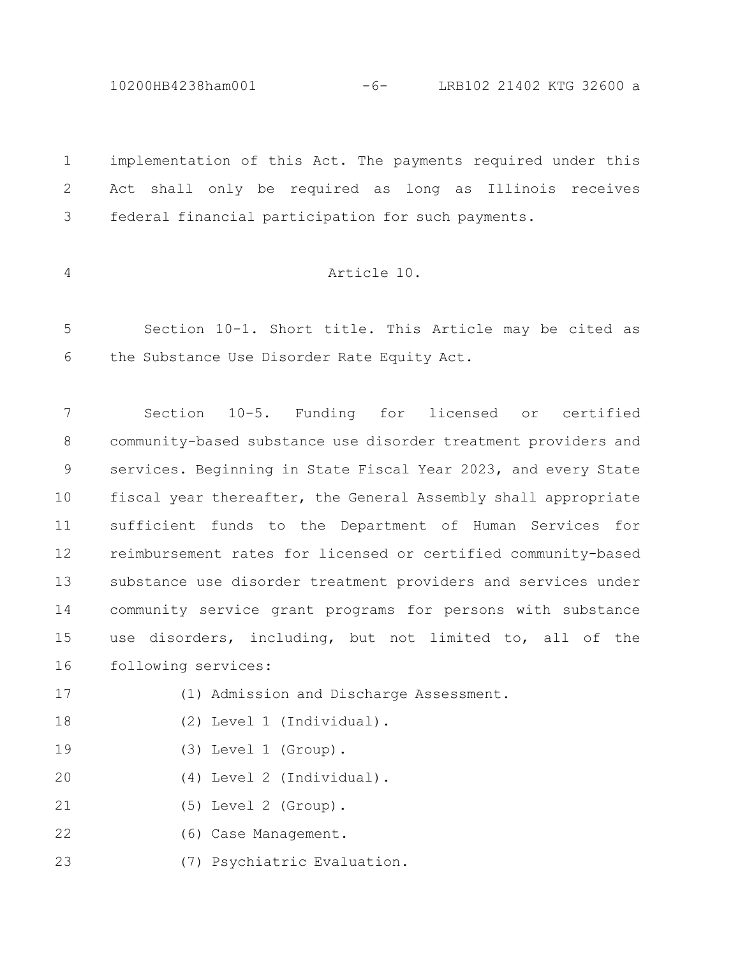10200HB4238ham001 -6- LRB102 21402 KTG 32600 a

implementation of this Act. The payments required under this Act shall only be required as long as Illinois receives federal financial participation for such payments. 1 2 3

4

## Article 10.

Section 10-1. Short title. This Article may be cited as the Substance Use Disorder Rate Equity Act. 5 6

Section 10-5. Funding for licensed or certified community-based substance use disorder treatment providers and services. Beginning in State Fiscal Year 2023, and every State fiscal year thereafter, the General Assembly shall appropriate sufficient funds to the Department of Human Services for reimbursement rates for licensed or certified community-based substance use disorder treatment providers and services under community service grant programs for persons with substance use disorders, including, but not limited to, all of the following services: 7 8 9 10 11 12 13 14 15 16

- (1) Admission and Discharge Assessment. 17
- (2) Level 1 (Individual). 18
- (3) Level 1 (Group). 19
- (4) Level 2 (Individual). 20
- (5) Level 2 (Group). 21
- (6) Case Management. 22
- (7) Psychiatric Evaluation. 23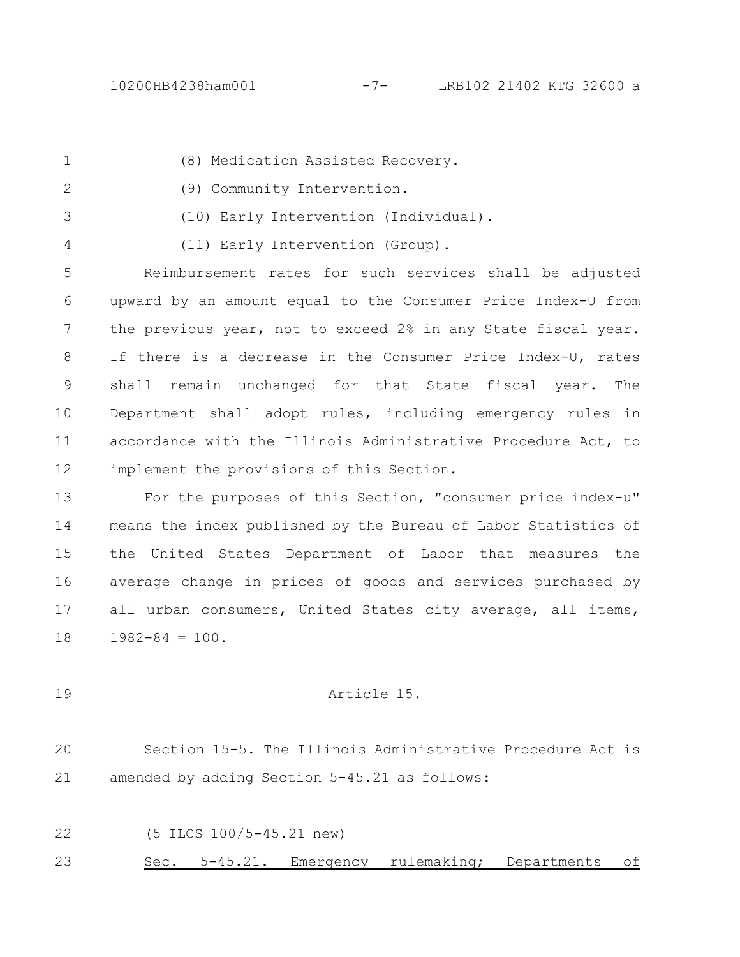1

(8) Medication Assisted Recovery.

- (9) Community Intervention. 2
- 3

4

(10) Early Intervention (Individual).

(11) Early Intervention (Group).

Reimbursement rates for such services shall be adjusted upward by an amount equal to the Consumer Price Index-U from the previous year, not to exceed 2% in any State fiscal year. If there is a decrease in the Consumer Price Index-U, rates shall remain unchanged for that State fiscal year. The Department shall adopt rules, including emergency rules in accordance with the Illinois Administrative Procedure Act, to implement the provisions of this Section. 5 6 7 8 9 10 11 12

For the purposes of this Section, "consumer price index-u" means the index published by the Bureau of Labor Statistics of the United States Department of Labor that measures the average change in prices of goods and services purchased by all urban consumers, United States city average, all items,  $1982 - 84 = 100$ . 13 14 15 16 17 18

19

## Article 15.

Section 15-5. The Illinois Administrative Procedure Act is amended by adding Section 5-45.21 as follows: 20 21

22

(5 ILCS 100/5-45.21 new)

Sec. 5-45.21. Emergency rulemaking; Departments of 23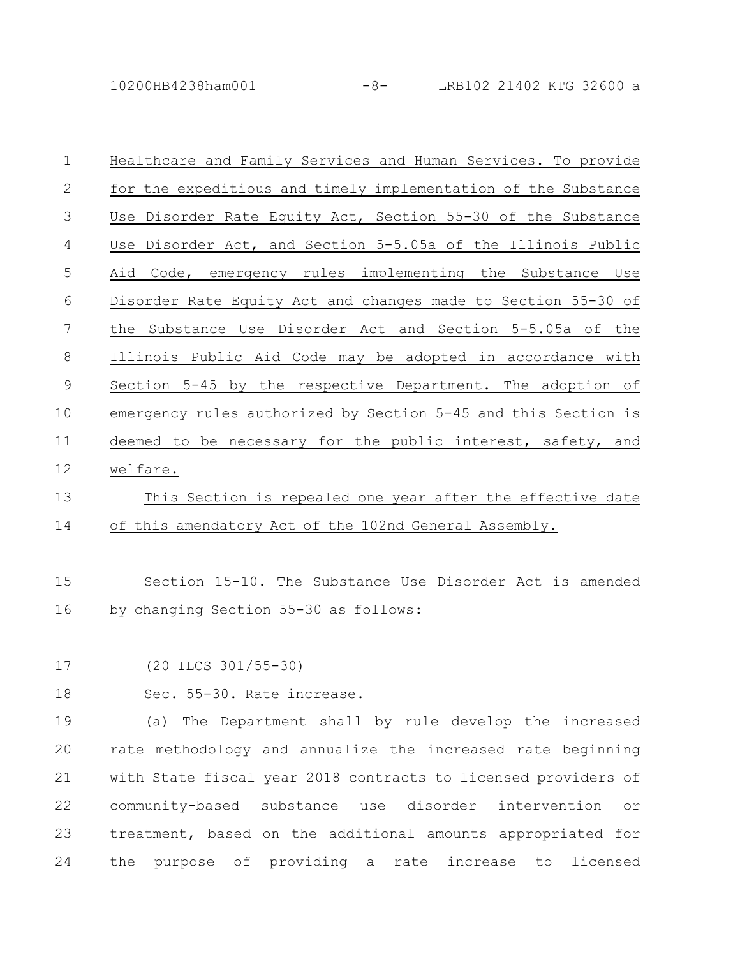10200HB4238ham001 -8- LRB102 21402 KTG 32600 a

| $\mathbf 1$    | Healthcare and Family Services and Human Services. To provide  |
|----------------|----------------------------------------------------------------|
| $\mathbf{2}$   | for the expeditious and timely implementation of the Substance |
| $\mathfrak{Z}$ | Use Disorder Rate Equity Act, Section 55-30 of the Substance   |
| $\overline{4}$ | Use Disorder Act, and Section 5-5.05a of the Illinois Public   |
| 5              | Aid Code, emergency rules implementing the Substance Use       |
| $\sqrt{6}$     | Disorder Rate Equity Act and changes made to Section 55-30 of  |
| 7              | the Substance Use Disorder Act and Section 5-5.05a of the      |
| $\,8\,$        | Illinois Public Aid Code may be adopted in accordance with     |
| $\mathsf{9}$   | Section 5-45 by the respective Department. The adoption of     |
| 10             | emergency rules authorized by Section 5-45 and this Section is |
| 11             | deemed to be necessary for the public interest, safety, and    |
| 12             | welfare.                                                       |
| 13             | This Section is repealed one year after the effective date     |
| 14             | of this amendatory Act of the 102nd General Assembly.          |
|                |                                                                |

Section 15-10. The Substance Use Disorder Act is amended by changing Section 55-30 as follows: 15 16

(20 ILCS 301/55-30) 17

Sec. 55-30. Rate increase. 18

(a) The Department shall by rule develop the increased rate methodology and annualize the increased rate beginning with State fiscal year 2018 contracts to licensed providers of community-based substance use disorder intervention or treatment, based on the additional amounts appropriated for the purpose of providing a rate increase to licensed 19 20 21 22 23 24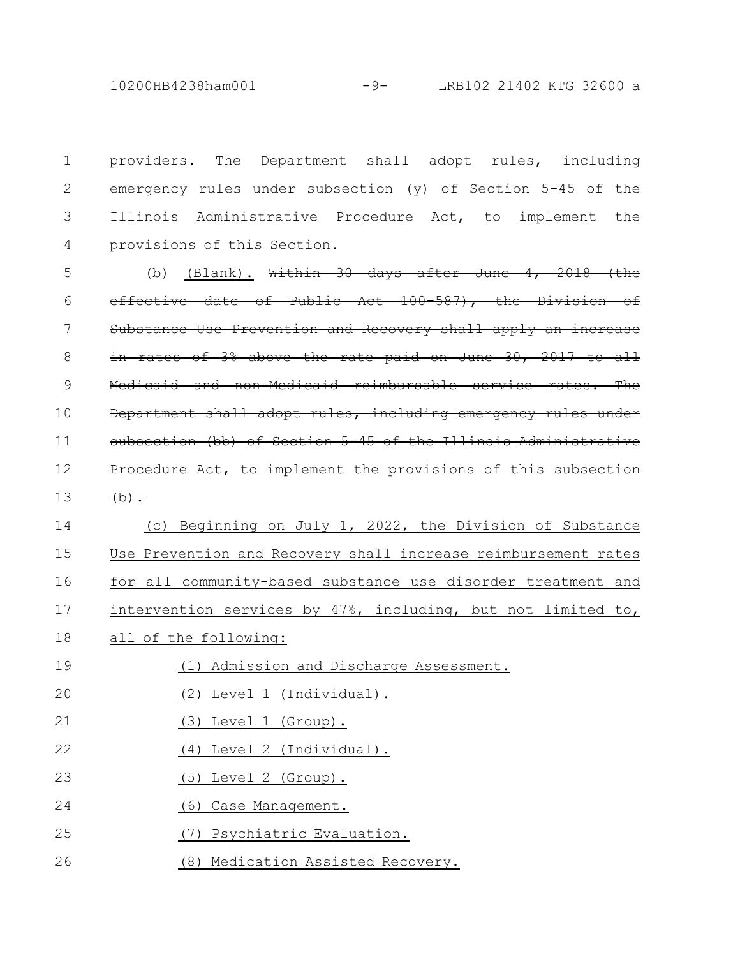10200HB4238ham001 -9- LRB102 21402 KTG 32600 a

providers. The Department shall adopt rules, including emergency rules under subsection (y) of Section 5-45 of the Illinois Administrative Procedure Act, to implement the provisions of this Section. 1 2 3 4

(b) (Blank). Within  $30$  days after June 4, 2018 (the effective date of Public Act 100-587), the Division Substance Use Prevention and Recovery shall apply an increase in rates of 3% above the rate paid on June 30, 2017 to all Medicaid and non-Medicaid reimbursable service rates. The Department shall adopt rules, including emergency rules under subsection (bb) of Section 5-45 of the Illinois Administrative Procedure Act, to implement the provisions of this subsection  $(b)$ . 5 6 7 8 9 10 11 12 13

(c) Beginning on July 1, 2022, the Division of Substance Use Prevention and Recovery shall increase reimbursement rates for all community-based substance use disorder treatment and intervention services by 47%, including, but not limited to, all of the following: (1) Admission and Discharge Assessment. (2) Level 1 (Individual). 14 15 16 17 18 19 20

- (3) Level 1 (Group). 21
- (4) Level 2 (Individual). 22
- (5) Level 2 (Group). 23
- (6) Case Management. 24
- (7) Psychiatric Evaluation. 25
- (8) Medication Assisted Recovery. 26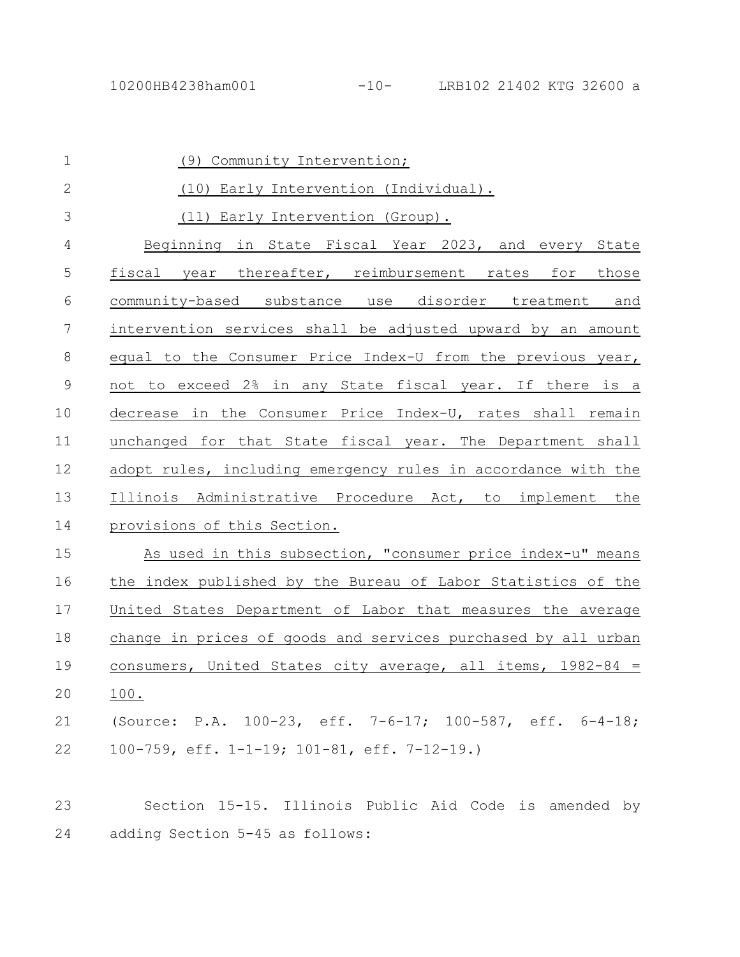| $\mathbf 1$     | (9) Community Intervention;                                   |
|-----------------|---------------------------------------------------------------|
| $\mathbf{2}$    | (10) Early Intervention (Individual).                         |
| 3               | (11) Early Intervention (Group).                              |
| 4               | Beginning in State Fiscal Year 2023, and every State          |
| 5               | fiscal year thereafter, reimbursement rates for those         |
| 6               | community-based substance use disorder treatment and          |
| $7\phantom{.0}$ | intervention services shall be adjusted upward by an amount   |
| 8               | equal to the Consumer Price Index-U from the previous year,   |
| $\mathsf 9$     | not to exceed 2% in any State fiscal year. If there is a      |
| 10              | decrease in the Consumer Price Index-U, rates shall remain    |
| 11              | unchanged for that State fiscal year. The Department shall    |
| 12              | adopt rules, including emergency rules in accordance with the |
| 13              | Illinois Administrative Procedure Act, to implement the       |
| 14              | provisions of this Section.                                   |
| 15              | As used in this subsection, "consumer price index-u" means    |
| 16              | the index published by the Bureau of Labor Statistics of the  |
| 17              | United States Department of Labor that measures the average   |
| 18              | change in prices of goods and services purchased by all urban |
| 19              | consumers, United States city average, all items, $1982-84 =$ |
| 20              | 100.                                                          |
| 21              | (Source: P.A. 100-23, eff. 7-6-17; 100-587, eff. 6-4-18;      |
| 22              | 100-759, eff. 1-1-19; 101-81, eff. 7-12-19.)                  |
|                 |                                                               |
| 23              | Section 15-15. Illinois Public Aid Code is amended by         |

adding Section 5-45 as follows: 24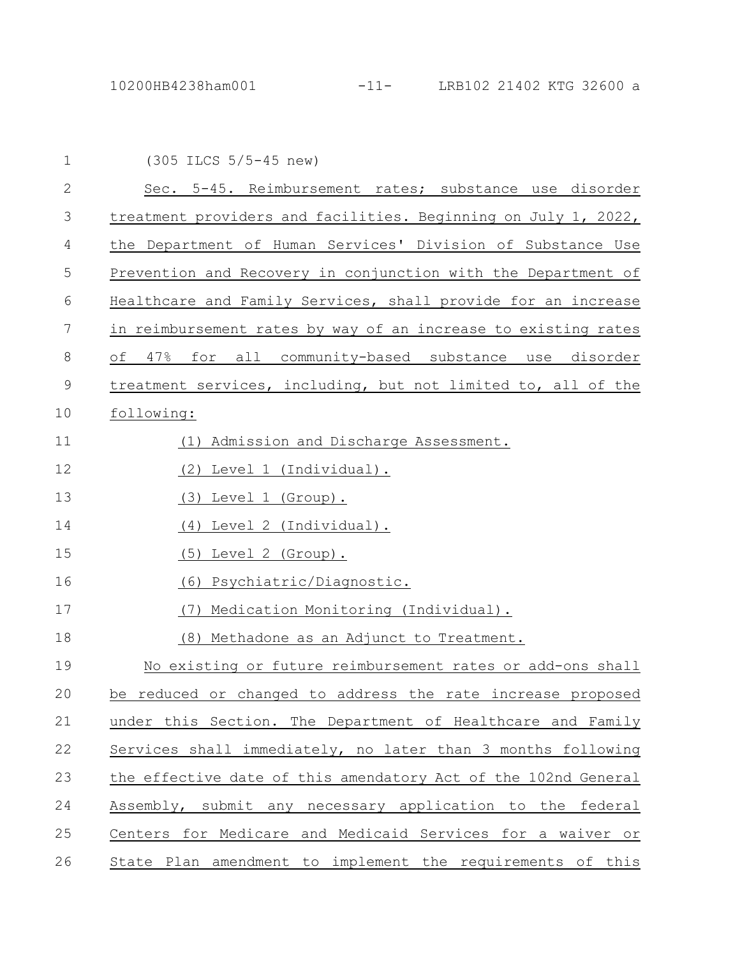| $\mathbf{1}$ | $(305$ ILCS $5/5-45$ new)                                      |
|--------------|----------------------------------------------------------------|
| $\mathbf{2}$ | Sec. 5-45. Reimbursement rates; substance use disorder         |
| 3            | treatment providers and facilities. Beginning on July 1, 2022, |
| 4            | the Department of Human Services' Division of Substance Use    |
| 5            | Prevention and Recovery in conjunction with the Department of  |
| $6\,$        | Healthcare and Family Services, shall provide for an increase  |
| 7            | in reimbursement rates by way of an increase to existing rates |
| 8            | of 47% for all community-based substance use disorder          |
| $\mathsf 9$  | treatment services, including, but not limited to, all of the  |
| 10           | following:                                                     |
| 11           | (1) Admission and Discharge Assessment.                        |
| 12           | (2) Level 1 (Individual).                                      |
| 13           | (3) Level 1 (Group).                                           |
| 14           | Level 2 (Individual).<br>(4)                                   |
| 15           | Level 2 (Group).<br>(5)                                        |
| 16           | Psychiatric/Diagnostic.<br>(6)                                 |
| 17           | (7)<br>Medication Monitoring (Individual).                     |
| 18           | (8) Methadone as an Adjunct to Treatment.                      |
| 19           | No existing or future reimbursement rates or add-ons shall     |
| 20           | be reduced or changed to address the rate increase proposed    |
| 21           | under this Section. The Department of Healthcare and Family    |
| 22           | Services shall immediately, no later than 3 months following   |
| 23           | the effective date of this amendatory Act of the 102nd General |
| 24           | Assembly, submit any necessary application to the federal      |
| 25           | Centers for Medicare and Medicaid Services for a waiver or     |
| 26           | State Plan amendment to implement the requirements of this     |